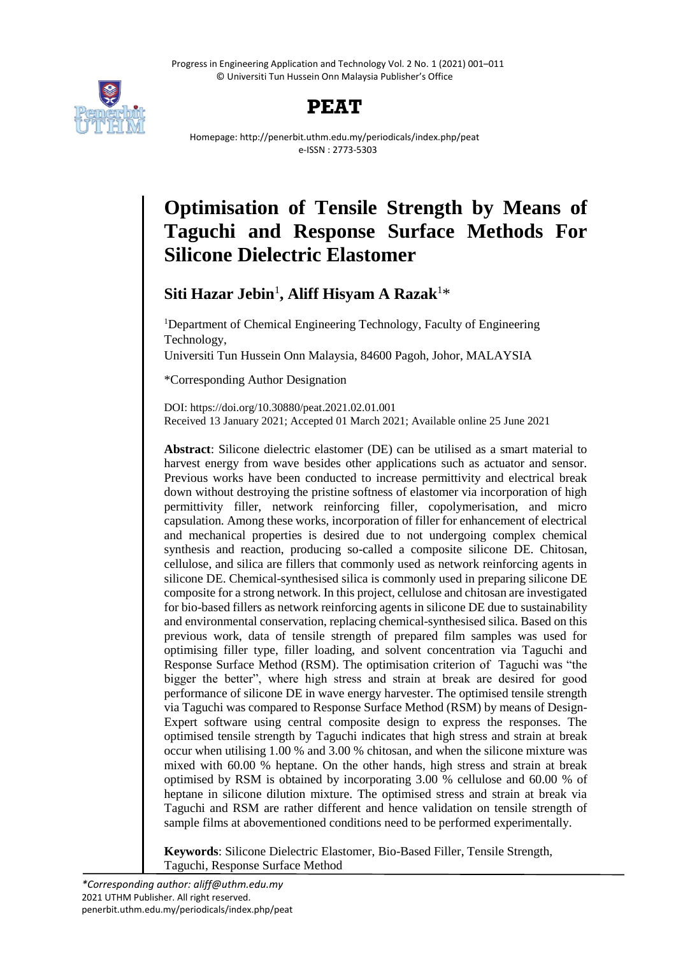

# **PEAT**

Homepage: http://penerbit.uthm.edu.my/periodicals/index.php/peat e-ISSN : 2773-5303

# **Optimisation of Tensile Strength by Means of Taguchi and Response Surface Methods For Silicone Dielectric Elastomer**

# **Siti Hazar Jebin**<sup>1</sup> **, Aliff Hisyam A Razak**<sup>1</sup>\*

<sup>1</sup>Department of Chemical Engineering Technology, Faculty of Engineering Technology,

Universiti Tun Hussein Onn Malaysia, 84600 Pagoh, Johor, MALAYSIA

\*Corresponding Author Designation

DOI: https://doi.org/10.30880/peat.2021.02.01.001 Received 13 January 2021; Accepted 01 March 2021; Available online 25 June 2021

**Abstract**: Silicone dielectric elastomer (DE) can be utilised as a smart material to harvest energy from wave besides other applications such as actuator and sensor. Previous works have been conducted to increase permittivity and electrical break down without destroying the pristine softness of elastomer via incorporation of high permittivity filler, network reinforcing filler, copolymerisation, and micro capsulation. Among these works, incorporation of filler for enhancement of electrical and mechanical properties is desired due to not undergoing complex chemical synthesis and reaction, producing so-called a composite silicone DE. Chitosan, cellulose, and silica are fillers that commonly used as network reinforcing agents in silicone DE. Chemical-synthesised silica is commonly used in preparing silicone DE composite for a strong network. In this project, cellulose and chitosan are investigated for bio-based fillers as network reinforcing agents in silicone DE due to sustainability and environmental conservation, replacing chemical-synthesised silica. Based on this previous work, data of tensile strength of prepared film samples was used for optimising filler type, filler loading, and solvent concentration via Taguchi and Response Surface Method (RSM). The optimisation criterion of Taguchi was "the bigger the better", where high stress and strain at break are desired for good performance of silicone DE in wave energy harvester. The optimised tensile strength via Taguchi was compared to Response Surface Method (RSM) by means of Design-Expert software using central composite design to express the responses. The optimised tensile strength by Taguchi indicates that high stress and strain at break occur when utilising 1.00 % and 3.00 % chitosan, and when the silicone mixture was mixed with 60.00 % heptane. On the other hands, high stress and strain at break optimised by RSM is obtained by incorporating 3.00 % cellulose and 60.00 % of heptane in silicone dilution mixture. The optimised stress and strain at break via Taguchi and RSM are rather different and hence validation on tensile strength of sample films at abovementioned conditions need to be performed experimentally.

**Keywords**: Silicone Dielectric Elastomer, Bio-Based Filler, Tensile Strength, Taguchi, Response Surface Method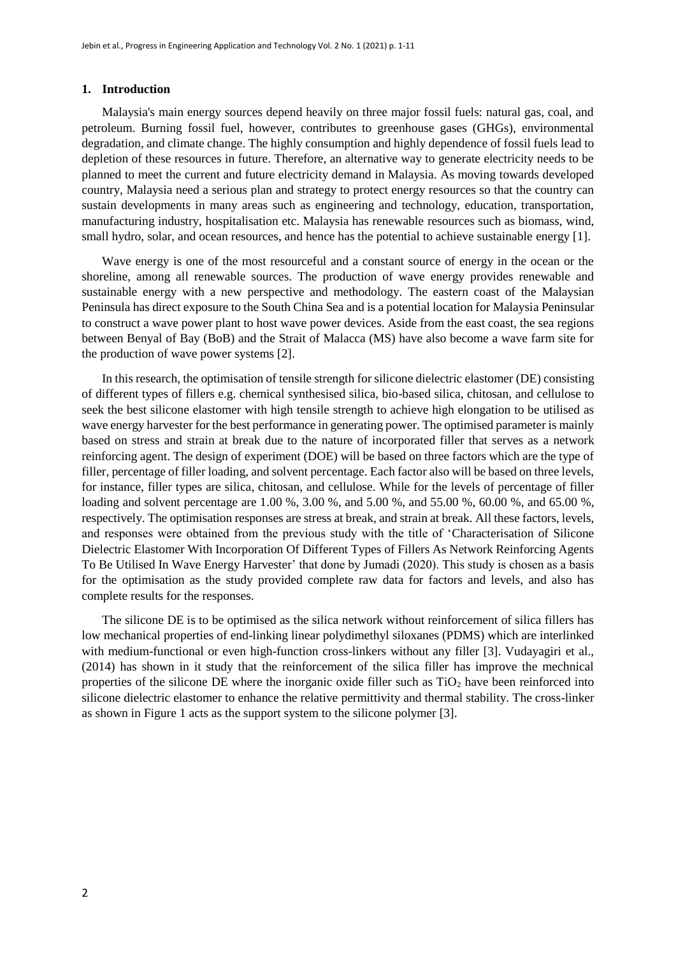#### **1. Introduction**

Malaysia's main energy sources depend heavily on three major fossil fuels: natural gas, coal, and petroleum. Burning fossil fuel, however, contributes to greenhouse gases (GHGs), environmental degradation, and climate change. The highly consumption and highly dependence of fossil fuels lead to depletion of these resources in future. Therefore, an alternative way to generate electricity needs to be planned to meet the current and future electricity demand in Malaysia. As moving towards developed country, Malaysia need a serious plan and strategy to protect energy resources so that the country can sustain developments in many areas such as engineering and technology, education, transportation, manufacturing industry, hospitalisation etc. Malaysia has renewable resources such as biomass, wind, small hydro, solar, and ocean resources, and hence has the potential to achieve sustainable energy [1].

Wave energy is one of the most resourceful and a constant source of energy in the ocean or the shoreline, among all renewable sources. The production of wave energy provides renewable and sustainable energy with a new perspective and methodology. The eastern coast of the Malaysian Peninsula has direct exposure to the South China Sea and is a potential location for Malaysia Peninsular to construct a wave power plant to host wave power devices. Aside from the east coast, the sea regions between Benyal of Bay (BoB) and the Strait of Malacca (MS) have also become a wave farm site for the production of wave power systems [2].

In this research, the optimisation of tensile strength for silicone dielectric elastomer (DE) consisting of different types of fillers e.g. chemical synthesised silica, bio-based silica, chitosan, and cellulose to seek the best silicone elastomer with high tensile strength to achieve high elongation to be utilised as wave energy harvester for the best performance in generating power. The optimised parameter is mainly based on stress and strain at break due to the nature of incorporated filler that serves as a network reinforcing agent. The design of experiment (DOE) will be based on three factors which are the type of filler, percentage of filler loading, and solvent percentage. Each factor also will be based on three levels, for instance, filler types are silica, chitosan, and cellulose. While for the levels of percentage of filler loading and solvent percentage are 1.00 %, 3.00 %, and 5.00 %, and 55.00 %, 60.00 %, and 65.00 %, respectively. The optimisation responses are stress at break, and strain at break. All these factors, levels, and responses were obtained from the previous study with the title of 'Characterisation of Silicone Dielectric Elastomer With Incorporation Of Different Types of Fillers As Network Reinforcing Agents To Be Utilised In Wave Energy Harvester' that done by Jumadi (2020). This study is chosen as a basis for the optimisation as the study provided complete raw data for factors and levels, and also has complete results for the responses.

The silicone DE is to be optimised as the silica network without reinforcement of silica fillers has low mechanical properties of end-linking linear polydimethyl siloxanes (PDMS) which are interlinked with medium-functional or even high-function cross-linkers without any filler [3]. Vudayagiri et al., (2014) has shown in it study that the reinforcement of the silica filler has improve the mechnical properties of the silicone DE where the inorganic oxide filler such as  $TiO<sub>2</sub>$  have been reinforced into silicone dielectric elastomer to enhance the relative permittivity and thermal stability. The cross-linker as shown in Figure 1 acts as the support system to the silicone polymer [3].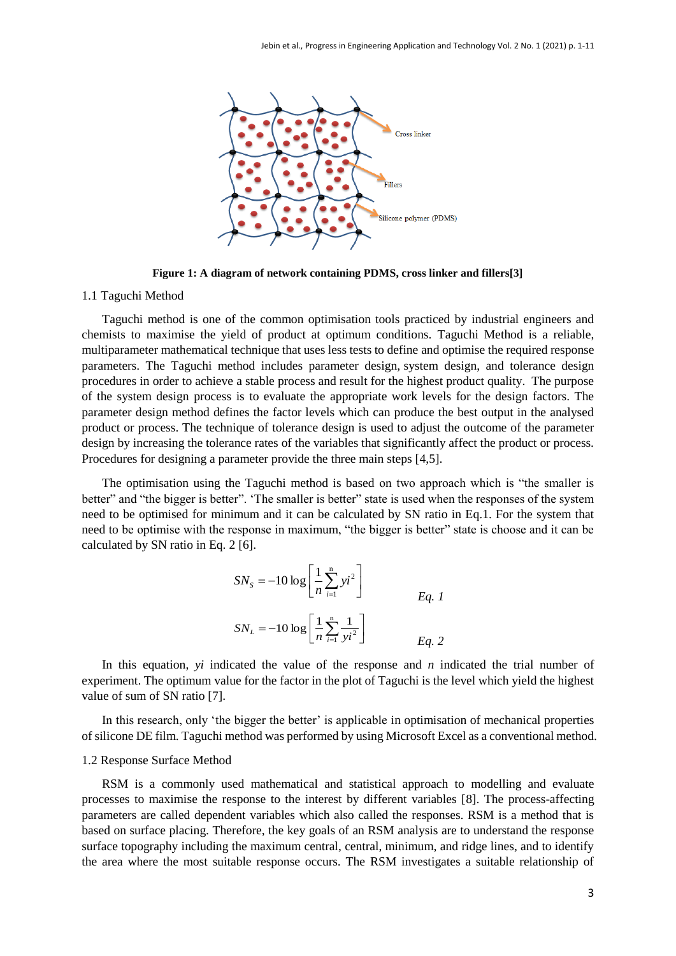

**Figure 1: A diagram of network containing PDMS, cross linker and fillers[3]**

### 1.1 Taguchi Method

Taguchi method is one of the common optimisation tools practiced by industrial engineers and chemists to maximise the yield of product at optimum conditions. Taguchi Method is a reliable, multiparameter mathematical technique that uses less tests to define and optimise the required response parameters. The Taguchi method includes parameter design, system design, and tolerance design procedures in order to achieve a stable process and result for the highest product quality. The purpose of the system design process is to evaluate the appropriate work levels for the design factors. The parameter design method defines the factor levels which can produce the best output in the analysed product or process. The technique of tolerance design is used to adjust the outcome of the parameter design by increasing the tolerance rates of the variables that significantly affect the product or process. Procedures for designing a parameter provide the three main steps [4,5].

The optimisation using the Taguchi method is based on two approach which is "the smaller is better" and "the bigger is better". 'The smaller is better" state is used when the responses of the system need to be optimised for minimum and it can be calculated by SN ratio in Eq.1. For the system that need to be optimise with the response in maximum, "the bigger is better" state is choose and it can be calculated by SN ratio in Eq. 2 [6].

$$
SN_{s} = -10 \log \left[ \frac{1}{n} \sum_{i=1}^{n} yi^{2} \right]
$$
  

$$
SN_{L} = -10 \log \left[ \frac{1}{n} \sum_{i=1}^{n} \frac{1}{yi^{2}} \right]
$$
  

$$
Eq. 1
$$
  

$$
Eq. 2
$$

In this equation, *yi* indicated the value of the response and *n* indicated the trial number of experiment. The optimum value for the factor in the plot of Taguchi is the level which yield the highest value of sum of SN ratio [7].

In this research, only 'the bigger the better' is applicable in optimisation of mechanical properties of silicone DE film. Taguchi method was performed by using Microsoft Excel as a conventional method.

#### 1.2 Response Surface Method

RSM is a commonly used mathematical and statistical approach to modelling and evaluate processes to maximise the response to the interest by different variables [8]. The process-affecting parameters are called dependent variables which also called the responses. RSM is a method that is based on surface placing. Therefore, the key goals of an RSM analysis are to understand the response surface topography including the maximum central, central, minimum, and ridge lines, and to identify the area where the most suitable response occurs. The RSM investigates a suitable relationship of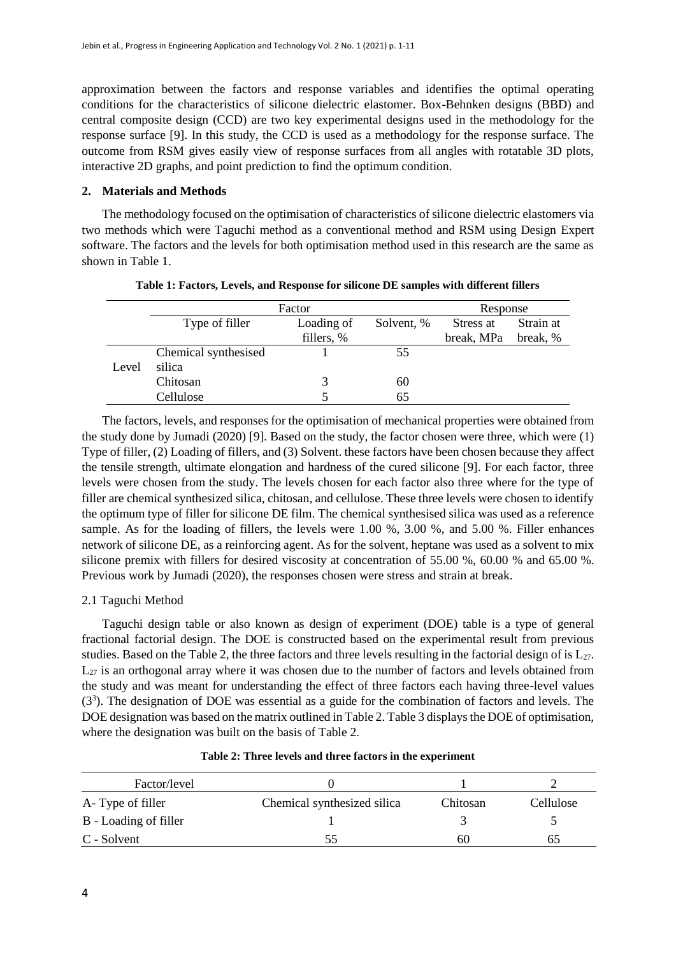approximation between the factors and response variables and identifies the optimal operating conditions for the characteristics of silicone dielectric elastomer. Box-Behnken designs (BBD) and central composite design (CCD) are two key experimental designs used in the methodology for the response surface [9]. In this study, the CCD is used as a methodology for the response surface. The outcome from RSM gives easily view of response surfaces from all angles with rotatable 3D plots, interactive 2D graphs, and point prediction to find the optimum condition.

# **2. Materials and Methods**

The methodology focused on the optimisation of characteristics of silicone dielectric elastomers via two methods which were Taguchi method as a conventional method and RSM using Design Expert software. The factors and the levels for both optimisation method used in this research are the same as shown in Table 1.

|       | Factor               |            |            | Response   |           |
|-------|----------------------|------------|------------|------------|-----------|
|       | Type of filler       | Loading of | Solvent, % | Stress at  | Strain at |
|       |                      | fillers, % |            | break, MPa | break, %  |
|       | Chemical synthesised |            | 55         |            |           |
| Level | silica               |            |            |            |           |
|       | Chitosan             |            | 60         |            |           |
|       | Cellulose            |            | 65         |            |           |
|       |                      |            |            |            |           |

|  |  | Table 1: Factors, Levels, and Response for silicone DE samples with different fillers |  |  |  |
|--|--|---------------------------------------------------------------------------------------|--|--|--|
|  |  |                                                                                       |  |  |  |

The factors, levels, and responses for the optimisation of mechanical properties were obtained from the study done by Jumadi (2020) [9]. Based on the study, the factor chosen were three, which were (1) Type of filler, (2) Loading of fillers, and (3) Solvent. these factors have been chosen because they affect the tensile strength, ultimate elongation and hardness of the cured silicone [9]. For each factor, three levels were chosen from the study. The levels chosen for each factor also three where for the type of filler are chemical synthesized silica, chitosan, and cellulose. These three levels were chosen to identify the optimum type of filler for silicone DE film. The chemical synthesised silica was used as a reference sample. As for the loading of fillers, the levels were 1.00 %, 3.00 %, and 5.00 %. Filler enhances network of silicone DE, as a reinforcing agent. As for the solvent, heptane was used as a solvent to mix silicone premix with fillers for desired viscosity at concentration of 55.00 %, 60.00 % and 65.00 %. Previous work by Jumadi (2020), the responses chosen were stress and strain at break.

# 2.1 Taguchi Method

Taguchi design table or also known as design of experiment (DOE) table is a type of general fractional factorial design. The DOE is constructed based on the experimental result from previous studies. Based on the Table 2, the three factors and three levels resulting in the factorial design of is  $L_{27}$ .  $L_{27}$  is an orthogonal array where it was chosen due to the number of factors and levels obtained from the study and was meant for understanding the effect of three factors each having three-level values (3<sup>3</sup> ). The designation of DOE was essential as a guide for the combination of factors and levels. The DOE designation was based on the matrix outlined in Table 2. Table 3 displays the DOE of optimisation, where the designation was built on the basis of Table 2.

| Factor/level          |                             |          |           |
|-----------------------|-----------------------------|----------|-----------|
| A-Type of filler      | Chemical synthesized silica | Chitosan | Cellulose |
| B - Loading of filler |                             |          |           |
| C - Solvent           | 55                          | 60       | 62        |

### **Table 2: Three levels and three factors in the experiment**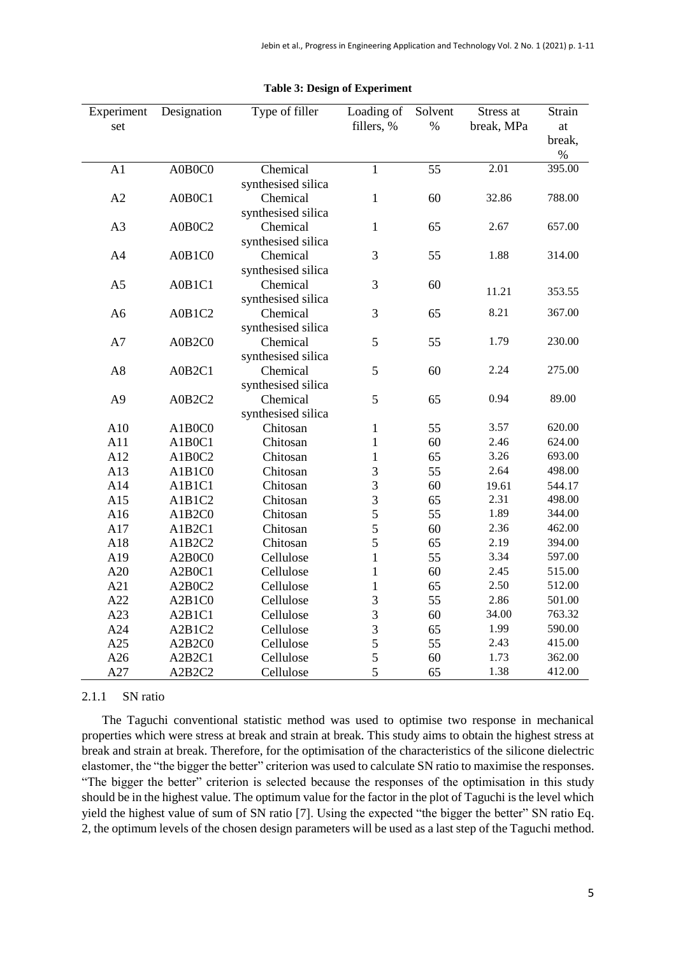| Experiment     | Designation | Type of filler                 | Loading of     | Solvent | Stress at  | Strain         |
|----------------|-------------|--------------------------------|----------------|---------|------------|----------------|
| set            |             |                                | fillers, %     | $\%$    | break, MPa | at             |
|                |             |                                |                |         |            | break,         |
|                |             |                                | $\mathbf{1}$   |         | 2.01       | $\%$<br>395.00 |
| A1             | A0B0C0      | Chemical                       |                | 55      |            |                |
|                |             | synthesised silica             |                |         | 32.86      | 788.00         |
| A2             | A0B0C1      | Chemical                       | $\mathbf{1}$   | 60      |            |                |
| A3             | A0B0C2      | synthesised silica<br>Chemical | $\mathbf{1}$   | 65      | 2.67       | 657.00         |
|                |             |                                |                |         |            |                |
|                |             | synthesised silica             |                |         | 1.88       | 314.00         |
| A <sub>4</sub> | A0B1C0      | Chemical                       | 3              | 55      |            |                |
|                |             | synthesised silica             | 3              |         |            |                |
| A <sub>5</sub> | A0B1C1      | Chemical                       |                | 60      | 11.21      | 353.55         |
|                |             | synthesised silica             | 3              |         | 8.21       | 367.00         |
| A <sub>6</sub> | A0B1C2      | Chemical                       |                | 65      |            |                |
|                |             | synthesised silica             | 5              |         | 1.79       |                |
| A7             | A0B2C0      | Chemical                       |                | 55      |            | 230.00         |
|                |             | synthesised silica             |                |         |            |                |
| A8             | A0B2C1      | Chemical                       | 5              | 60      | 2.24       | 275.00         |
|                |             | synthesised silica             |                |         |            |                |
| A <sub>9</sub> | A0B2C2      | Chemical                       | 5              | 65      | 0.94       | 89.00          |
|                |             | synthesised silica             |                |         |            |                |
| A10            | A1B0C0      | Chitosan                       | $\mathbf{1}$   | 55      | 3.57       | 620.00         |
| A11            | A1B0C1      | Chitosan                       | $\mathbf{1}$   | 60      | 2.46       | 624.00         |
| A12            | A1B0C2      | Chitosan                       | $\mathbf{1}$   | 65      | 3.26       | 693.00         |
| A13            | A1B1C0      | Chitosan                       | 3              | 55      | 2.64       | 498.00         |
| A14            | A1B1C1      | Chitosan                       | 3              | 60      | 19.61      | 544.17         |
| A15            | A1B1C2      | Chitosan                       | $\overline{3}$ | 65      | 2.31       | 498.00         |
| A16            | A1B2C0      | Chitosan                       | 5              | 55      | 1.89       | 344.00         |
| A17            | A1B2C1      | Chitosan                       | 5              | 60      | 2.36       | 462.00         |
| A18            | A1B2C2      | Chitosan                       | 5              | 65      | 2.19       | 394.00         |
| A19            | A2B0C0      | Cellulose                      | $\mathbf{1}$   | 55      | 3.34       | 597.00         |
| A20            | A2B0C1      | Cellulose                      | $\mathbf{1}$   | 60      | 2.45       | 515.00         |
| A21            | A2B0C2      | Cellulose                      | $\mathbf{1}$   | 65      | 2.50       | 512.00         |
| A22            | A2B1C0      | Cellulose                      | 3              | 55      | 2.86       | 501.00         |
| A23            | A2B1C1      | Cellulose                      | $\overline{3}$ | 60      | 34.00      | 763.32         |
| A24            | A2B1C2      | Cellulose                      | $\overline{3}$ | 65      | 1.99       | 590.00         |
| A25            | A2B2C0      | Cellulose                      | 5              | 55      | 2.43       | 415.00         |
| A26            | A2B2C1      | Cellulose                      | 5              | 60      | 1.73       | 362.00         |
| A27            | A2B2C2      | Cellulose                      | 5              | 65      | 1.38       | 412.00         |

#### **Table 3: Design of Experiment**

### 2.1.1 SN ratio

The Taguchi conventional statistic method was used to optimise two response in mechanical properties which were stress at break and strain at break. This study aims to obtain the highest stress at break and strain at break. Therefore, for the optimisation of the characteristics of the silicone dielectric elastomer, the "the bigger the better" criterion was used to calculate SN ratio to maximise the responses. "The bigger the better" criterion is selected because the responses of the optimisation in this study should be in the highest value. The optimum value for the factor in the plot of Taguchi is the level which yield the highest value of sum of SN ratio [7]. Using the expected "the bigger the better" SN ratio Eq. 2, the optimum levels of the chosen design parameters will be used as a last step of the Taguchi method.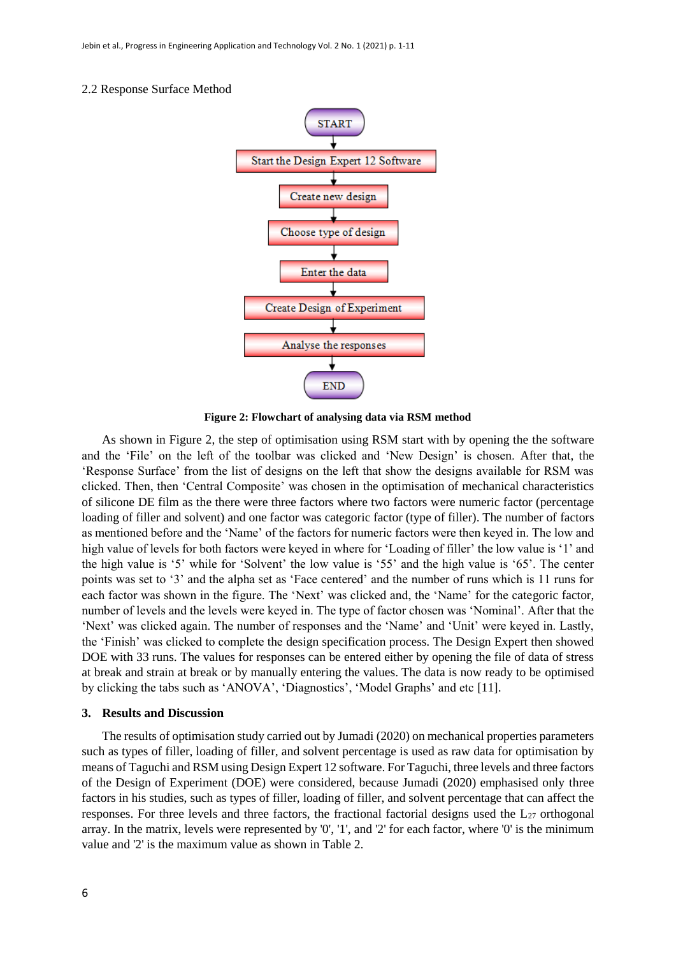#### 2.2 Response Surface Method



**Figure 2: Flowchart of analysing data via RSM method**

As shown in Figure 2, the step of optimisation using RSM start with by opening the the software and the 'File' on the left of the toolbar was clicked and 'New Design' is chosen. After that, the 'Response Surface' from the list of designs on the left that show the designs available for RSM was clicked. Then, then 'Central Composite' was chosen in the optimisation of mechanical characteristics of silicone DE film as the there were three factors where two factors were numeric factor (percentage loading of filler and solvent) and one factor was categoric factor (type of filler). The number of factors as mentioned before and the 'Name' of the factors for numeric factors were then keyed in. The low and high value of levels for both factors were keyed in where for 'Loading of filler' the low value is '1' and the high value is '5' while for 'Solvent' the low value is '55' and the high value is '65'. The center points was set to '3' and the alpha set as 'Face centered' and the number of runs which is 11 runs for each factor was shown in the figure. The 'Next' was clicked and, the 'Name' for the categoric factor, number of levels and the levels were keyed in. The type of factor chosen was 'Nominal'. After that the 'Next' was clicked again. The number of responses and the 'Name' and 'Unit' were keyed in. Lastly, the 'Finish' was clicked to complete the design specification process. The Design Expert then showed DOE with 33 runs. The values for responses can be entered either by opening the file of data of stress at break and strain at break or by manually entering the values. The data is now ready to be optimised by clicking the tabs such as 'ANOVA', 'Diagnostics', 'Model Graphs' and etc [11].

#### **3. Results and Discussion**

The results of optimisation study carried out by Jumadi (2020) on mechanical properties parameters such as types of filler, loading of filler, and solvent percentage is used as raw data for optimisation by means of Taguchi and RSM using Design Expert 12 software. For Taguchi, three levels and three factors of the Design of Experiment (DOE) were considered, because Jumadi (2020) emphasised only three factors in his studies, such as types of filler, loading of filler, and solvent percentage that can affect the responses. For three levels and three factors, the fractional factorial designs used the  $L_{27}$  orthogonal array. In the matrix, levels were represented by '0', '1', and '2' for each factor, where '0' is the minimum value and '2' is the maximum value as shown in Table 2.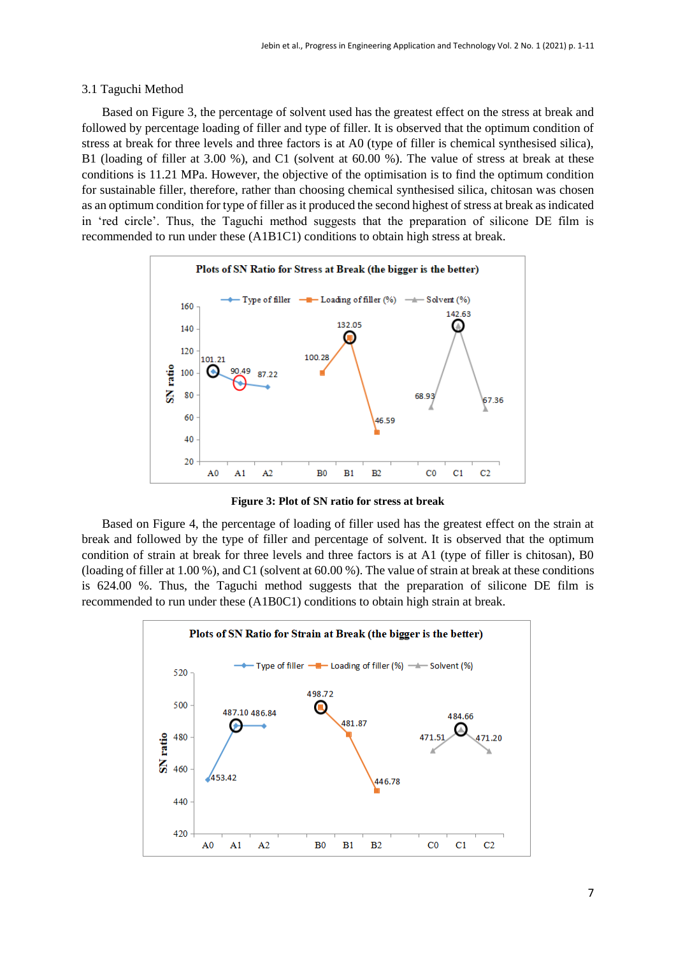#### 3.1 Taguchi Method

Based on Figure 3, the percentage of solvent used has the greatest effect on the stress at break and followed by percentage loading of filler and type of filler. It is observed that the optimum condition of stress at break for three levels and three factors is at A0 (type of filler is chemical synthesised silica), B1 (loading of filler at 3.00 %), and C1 (solvent at 60.00 %). The value of stress at break at these conditions is 11.21 MPa. However, the objective of the optimisation is to find the optimum condition for sustainable filler, therefore, rather than choosing chemical synthesised silica, chitosan was chosen as an optimum condition for type of filler as it produced the second highest of stress at break as indicated in 'red circle'. Thus, the Taguchi method suggests that the preparation of silicone DE film is recommended to run under these (A1B1C1) conditions to obtain high stress at break.



**Figure 3: Plot of SN ratio for stress at break**

Based on Figure 4, the percentage of loading of filler used has the greatest effect on the strain at break and followed by the type of filler and percentage of solvent. It is observed that the optimum condition of strain at break for three levels and three factors is at A1 (type of filler is chitosan), B0 (loading of filler at 1.00 %), and C1 (solvent at 60.00 %). The value of strain at break at these conditions is 624.00 %. Thus, the Taguchi method suggests that the preparation of silicone DE film is recommended to run under these (A1B0C1) conditions to obtain high strain at break.

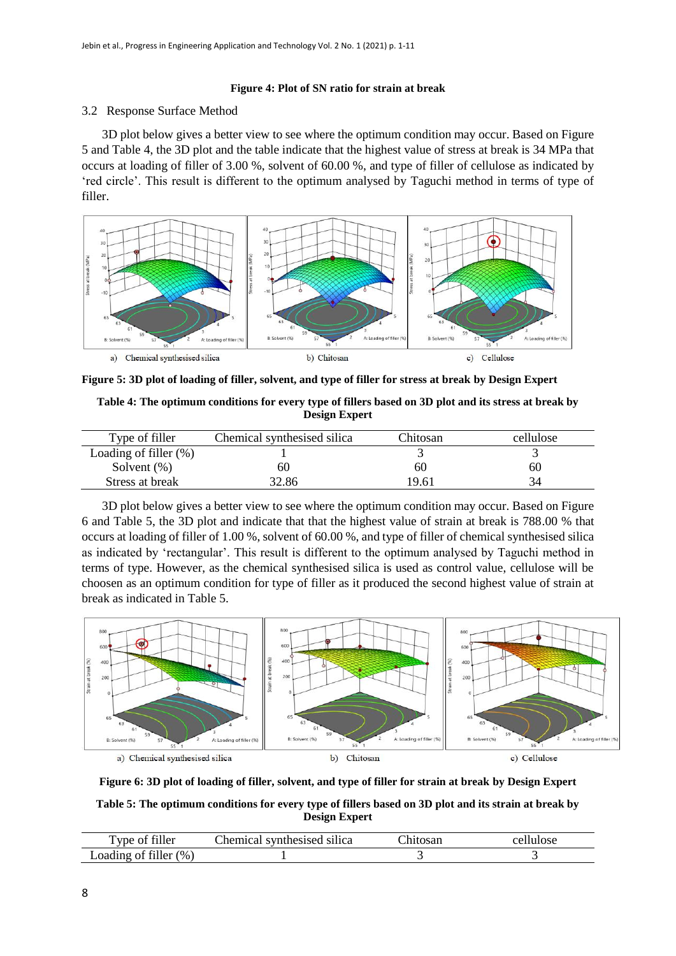#### **Figure 4: Plot of SN ratio for strain at break**

#### 3.2 Response Surface Method

3D plot below gives a better view to see where the optimum condition may occur. Based on Figure 5 and Table 4, the 3D plot and the table indicate that the highest value of stress at break is 34 MPa that occurs at loading of filler of 3.00 %, solvent of 60.00 %, and type of filler of cellulose as indicated by 'red circle'. This result is different to the optimum analysed by Taguchi method in terms of type of filler.



**Figure 5: 3D plot of loading of filler, solvent, and type of filler for stress at break by Design Expert**

**Table 4: The optimum conditions for every type of fillers based on 3D plot and its stress at break by Design Expert**

| Type of filler           | Chemical synthesised silica | Chitosan | cellulose |
|--------------------------|-----------------------------|----------|-----------|
| Loading of filler $(\%)$ |                             |          |           |
| Solvent $(\%)$           | 60                          | 60       | 60        |
| Stress at break          | 32.86                       | 19.61    |           |

3D plot below gives a better view to see where the optimum condition may occur. Based on Figure 6 and Table 5, the 3D plot and indicate that that the highest value of strain at break is 788.00 % that occurs at loading of filler of 1.00 %, solvent of 60.00 %, and type of filler of chemical synthesised silica as indicated by 'rectangular'. This result is different to the optimum analysed by Taguchi method in terms of type. However, as the chemical synthesised silica is used as control value, cellulose will be choosen as an optimum condition for type of filler as it produced the second highest value of strain at break as indicated in Table 5.



**Figure 6: 3D plot of loading of filler, solvent, and type of filler for strain at break by Design Expert**

**Table 5: The optimum conditions for every type of fillers based on 3D plot and its strain at break by Design Expert**

| $7 + 1 +$<br>—<br>vne.                                  | .<br>$\sim$<br>$\alpha$ with $\alpha$ and $\alpha$ and $\alpha$<br>`hemica<br>silica | 1NG |
|---------------------------------------------------------|--------------------------------------------------------------------------------------|-----|
| 0.11<br>$\frac{9}{6}$ .<br>$\text{\_}$ oading<br>filler |                                                                                      |     |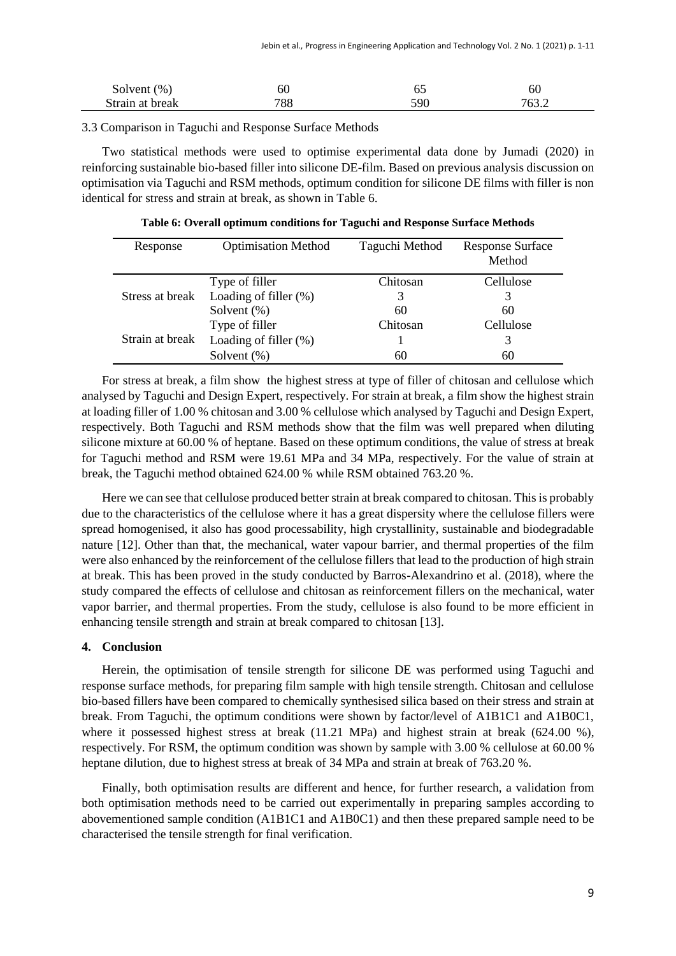| Solvent $(\%)$  | σU  | v.  | 6U    |
|-----------------|-----|-----|-------|
| Strain at break | 788 | 590 | 763.2 |

3.3 Comparison in Taguchi and Response Surface Methods

Two statistical methods were used to optimise experimental data done by Jumadi (2020) in reinforcing sustainable bio-based filler into silicone DE-film. Based on previous analysis discussion on optimisation via Taguchi and RSM methods, optimum condition for silicone DE films with filler is non identical for stress and strain at break, as shown in Table 6.

| Response        | <b>Optimisation Method</b> | Taguchi Method | <b>Response Surface</b><br>Method |
|-----------------|----------------------------|----------------|-----------------------------------|
|                 | Type of filler             | Chitosan       | Cellulose                         |
| Stress at break | Loading of filler $(\%)$   |                |                                   |
|                 | Solvent $(\%)$             | 60             | 60                                |
|                 | Type of filler             | Chitosan       | Cellulose                         |
| Strain at break | Loading of filler $(\%)$   |                |                                   |
|                 | Solvent $(\%)$             | 60             | 60                                |

**Table 6: Overall optimum conditions for Taguchi and Response Surface Methods**

For stress at break, a film show the highest stress at type of filler of chitosan and cellulose which analysed by Taguchi and Design Expert, respectively. For strain at break, a film show the highest strain at loading filler of 1.00 % chitosan and 3.00 % cellulose which analysed by Taguchi and Design Expert, respectively. Both Taguchi and RSM methods show that the film was well prepared when diluting silicone mixture at 60.00 % of heptane. Based on these optimum conditions, the value of stress at break for Taguchi method and RSM were 19.61 MPa and 34 MPa, respectively. For the value of strain at break, the Taguchi method obtained 624.00 % while RSM obtained 763.20 %.

Here we can see that cellulose produced better strain at break compared to chitosan. This is probably due to the characteristics of the cellulose where it has a great dispersity where the cellulose fillers were spread homogenised, it also has good processability, high crystallinity, sustainable and biodegradable nature [12]. Other than that, the mechanical, water vapour barrier, and thermal properties of the film were also enhanced by the reinforcement of the cellulose fillers that lead to the production of high strain at break. This has been proved in the study conducted by Barros-Alexandrino et al. (2018), where the study compared the effects of cellulose and chitosan as reinforcement fillers on the mechanical, water vapor barrier, and thermal properties. From the study, cellulose is also found to be more efficient in enhancing tensile strength and strain at break compared to chitosan [13].

# **4. Conclusion**

Herein, the optimisation of tensile strength for silicone DE was performed using Taguchi and response surface methods, for preparing film sample with high tensile strength. Chitosan and cellulose bio-based fillers have been compared to chemically synthesised silica based on their stress and strain at break. From Taguchi, the optimum conditions were shown by factor/level of A1B1C1 and A1B0C1, where it possessed highest stress at break (11.21 MPa) and highest strain at break (624.00 %), respectively. For RSM, the optimum condition was shown by sample with 3.00 % cellulose at 60.00 % heptane dilution, due to highest stress at break of 34 MPa and strain at break of 763.20 %.

Finally, both optimisation results are different and hence, for further research, a validation from both optimisation methods need to be carried out experimentally in preparing samples according to abovementioned sample condition (A1B1C1 and A1B0C1) and then these prepared sample need to be characterised the tensile strength for final verification.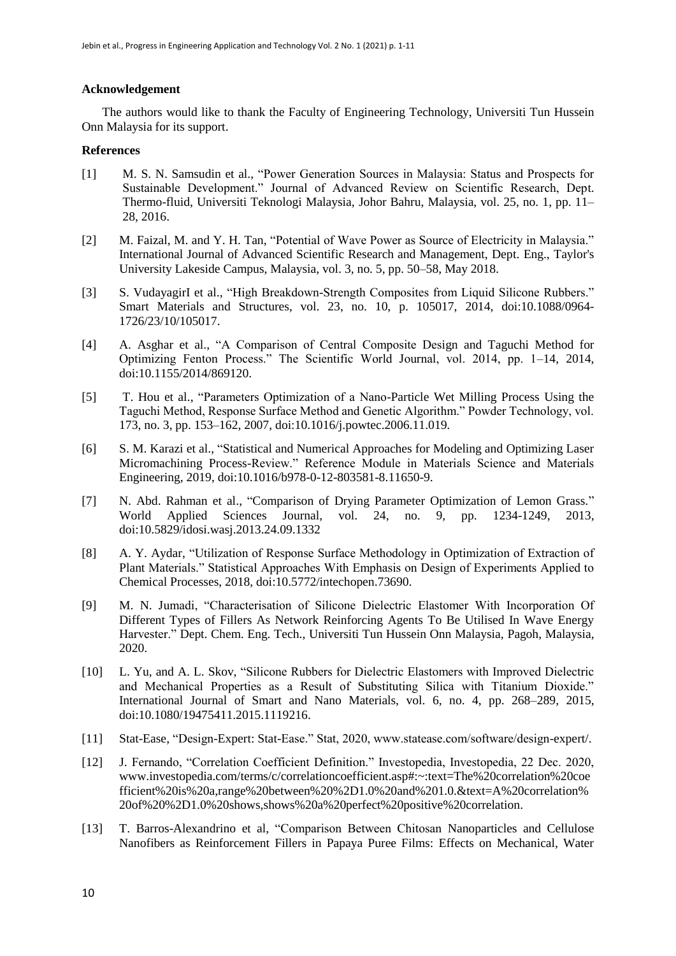# **Acknowledgement**

The authors would like to thank the Faculty of Engineering Technology, Universiti Tun Hussein Onn Malaysia for its support.

# **References**

- [1] M. S. N. Samsudin et al., "Power Generation Sources in Malaysia: Status and Prospects for Sustainable Development." Journal of Advanced Review on Scientific Research, Dept. Thermo-fluid, Universiti Teknologi Malaysia, Johor Bahru, Malaysia, vol. 25, no. 1, pp. 11– 28, 2016.
- [2] M. Faizal, M. and Y. H. Tan, "Potential of Wave Power as Source of Electricity in Malaysia." International Journal of Advanced Scientific Research and Management, Dept. Eng., Taylor's University Lakeside Campus, Malaysia, vol. 3, no. 5, pp. 50–58, May 2018.
- [3] S. VudayagirI et al., "High Breakdown-Strength Composites from Liquid Silicone Rubbers." Smart Materials and Structures, vol. 23, no. 10, p. 105017, 2014, doi:10.1088/0964- 1726/23/10/105017.
- [4] A. Asghar et al., "A Comparison of Central Composite Design and Taguchi Method for Optimizing Fenton Process." The Scientific World Journal, vol. 2014, pp. 1–14, 2014, doi:10.1155/2014/869120.
- [5] T. Hou et al., "Parameters Optimization of a Nano-Particle Wet Milling Process Using the Taguchi Method, Response Surface Method and Genetic Algorithm." Powder Technology, vol. 173, no. 3, pp. 153–162, 2007, doi:10.1016/j.powtec.2006.11.019.
- [6] S. M. Karazi et al., "Statistical and Numerical Approaches for Modeling and Optimizing Laser Micromachining Process-Review." Reference Module in Materials Science and Materials Engineering, 2019, doi:10.1016/b978-0-12-803581-8.11650-9.
- [7] N. Abd. Rahman et al., "Comparison of Drying Parameter Optimization of Lemon Grass." World Applied Sciences Journal, vol. 24, no. 9, pp. 1234-1249, 2013, doi:10.5829/idosi.wasj.2013.24.09.1332
- [8] A. Y. Aydar, "Utilization of Response Surface Methodology in Optimization of Extraction of Plant Materials." Statistical Approaches With Emphasis on Design of Experiments Applied to Chemical Processes, 2018, doi:10.5772/intechopen.73690.
- [9] M. N. Jumadi, "Characterisation of Silicone Dielectric Elastomer With Incorporation Of Different Types of Fillers As Network Reinforcing Agents To Be Utilised In Wave Energy Harvester." Dept. Chem. Eng. Tech., Universiti Tun Hussein Onn Malaysia, Pagoh, Malaysia, 2020.
- [10] L. Yu, and A. L. Skov, "Silicone Rubbers for Dielectric Elastomers with Improved Dielectric and Mechanical Properties as a Result of Substituting Silica with Titanium Dioxide." International Journal of Smart and Nano Materials, vol. 6, no. 4, pp. 268–289, 2015, doi:10.1080/19475411.2015.1119216.
- [11] Stat-Ease, "Design-Expert: Stat-Ease." Stat, 2020, www.statease.com/software/design-expert/.
- [12] J. Fernando, "Correlation Coefficient Definition." Investopedia, Investopedia, 22 Dec. 2020, www.investopedia.com/terms/c/correlationcoefficient.asp#:~:text=The%20correlation%20coe fficient%20is%20a,range%20between%20%2D1.0%20and%201.0.&text=A%20correlation% 20of%20%2D1.0%20shows,shows%20a%20perfect%20positive%20correlation.
- [13] T. Barros-Alexandrino et al, "Comparison Between Chitosan Nanoparticles and Cellulose Nanofibers as Reinforcement Fillers in Papaya Puree Films: Effects on Mechanical, Water